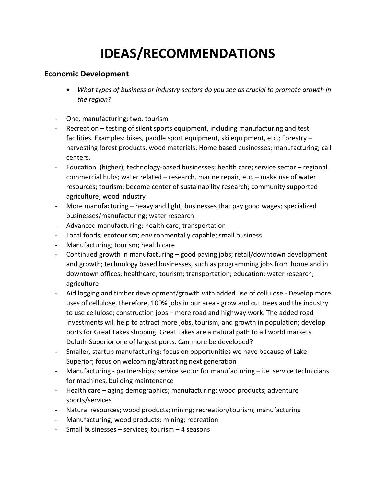## **IDEAS/RECOMMENDATIONS**

## **Economic Development**

- *What types of business or industry sectors do you see as crucial to promote growth in the region?*
- One, manufacturing; two, tourism
- Recreation testing of silent sports equipment, including manufacturing and test facilities. Examples: bikes, paddle sport equipment, ski equipment, etc.; Forestry – harvesting forest products, wood materials; Home based businesses; manufacturing; call centers.
- Education (higher); technology-based businesses; health care; service sector regional commercial hubs; water related – research, marine repair, etc. – make use of water resources; tourism; become center of sustainability research; community supported agriculture; wood industry
- More manufacturing  $-$  heavy and light; businesses that pay good wages; specialized businesses/manufacturing; water research
- Advanced manufacturing; health care; transportation
- Local foods; ecotourism; environmentally capable; small business
- Manufacturing; tourism; health care
- Continued growth in manufacturing good paying jobs; retail/downtown development and growth; technology based businesses, such as programming jobs from home and in downtown offices; healthcare; tourism; transportation; education; water research; agriculture
- Aid logging and timber development/growth with added use of cellulose Develop more uses of cellulose, therefore, 100% jobs in our area - grow and cut trees and the industry to use cellulose; construction jobs – more road and highway work. The added road investments will help to attract more jobs, tourism, and growth in population; develop ports for Great Lakes shipping. Great Lakes are a natural path to all world markets. Duluth-Superior one of largest ports. Can more be developed?
- Smaller, startup manufacturing; focus on opportunities we have because of Lake Superior; focus on welcoming/attracting next generation
- Manufacturing partnerships; service sector for manufacturing i.e. service technicians for machines, building maintenance
- Health care aging demographics; manufacturing; wood products; adventure sports/services
- Natural resources; wood products; mining; recreation/tourism; manufacturing
- Manufacturing; wood products; mining; recreation
- Small businesses services; tourism 4 seasons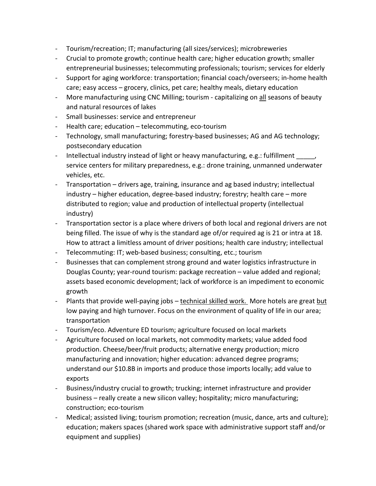- Tourism/recreation; IT; manufacturing (all sizes/services); microbreweries
- Crucial to promote growth; continue health care; higher education growth; smaller entrepreneurial businesses; telecommuting professionals; tourism; services for elderly
- Support for aging workforce: transportation; financial coach/overseers; in-home health care; easy access – grocery, clinics, pet care; healthy meals, dietary education
- More manufacturing using CNC Milling; tourism capitalizing on all seasons of beauty and natural resources of lakes
- Small businesses: service and entrepreneur
- Health care; education telecommuting, eco-tourism
- Technology, small manufacturing; forestry-based businesses; AG and AG technology; postsecondary education
- Intellectual industry instead of light or heavy manufacturing, e.g.: fulfillment  $\qquad \qquad$ service centers for military preparedness, e.g.: drone training, unmanned underwater vehicles, etc.
- Transportation drivers age, training, insurance and ag based industry; intellectual industry – higher education, degree-based industry; forestry; health care – more distributed to region; value and production of intellectual property (intellectual industry)
- Transportation sector is a place where drivers of both local and regional drivers are not being filled. The issue of why is the standard age of/or required ag is 21 or intra at 18. How to attract a limitless amount of driver positions; health care industry; intellectual
- Telecommuting: IT; web-based business; consulting, etc.; tourism
- Businesses that can complement strong ground and water logistics infrastructure in Douglas County; year-round tourism: package recreation – value added and regional; assets based economic development; lack of workforce is an impediment to economic growth
- Plants that provide well-paying jobs technical skilled work. More hotels are great but low paying and high turnover. Focus on the environment of quality of life in our area; transportation
- Tourism/eco. Adventure ED tourism; agriculture focused on local markets
- Agriculture focused on local markets, not commodity markets; value added food production. Cheese/beer/fruit products; alternative energy production; micro manufacturing and innovation; higher education: advanced degree programs; understand our \$10.8B in imports and produce those imports locally; add value to exports
- Business/industry crucial to growth; trucking; internet infrastructure and provider business – really create a new silicon valley; hospitality; micro manufacturing; construction; eco-tourism
- Medical; assisted living; tourism promotion; recreation (music, dance, arts and culture); education; makers spaces (shared work space with administrative support staff and/or equipment and supplies)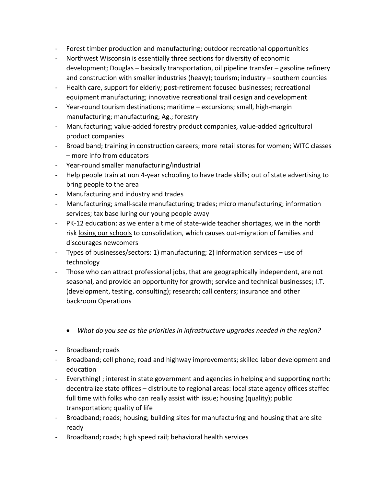- Forest timber production and manufacturing; outdoor recreational opportunities
- Northwest Wisconsin is essentially three sections for diversity of economic development; Douglas – basically transportation, oil pipeline transfer – gasoline refinery and construction with smaller industries (heavy); tourism; industry – southern counties
- Health care, support for elderly; post-retirement focused businesses; recreational equipment manufacturing; innovative recreational trail design and development
- Year-round tourism destinations; maritime excursions; small, high-margin manufacturing; manufacturing; Ag.; forestry
- Manufacturing; value-added forestry product companies, value-added agricultural product companies
- Broad band; training in construction careers; more retail stores for women; WITC classes – more info from educators
- Year-round smaller manufacturing/industrial
- Help people train at non 4-year schooling to have trade skills; out of state advertising to bring people to the area
- Manufacturing and industry and trades
- Manufacturing; small-scale manufacturing; trades; micro manufacturing; information services; tax base luring our young people away
- PK-12 education: as we enter a time of state-wide teacher shortages, we in the north risk losing our schools to consolidation, which causes out-migration of families and discourages newcomers
- Types of businesses/sectors: 1) manufacturing; 2) information services use of technology
- Those who can attract professional jobs, that are geographically independent, are not seasonal, and provide an opportunity for growth; service and technical businesses; I.T. (development, testing, consulting); research; call centers; insurance and other backroom Operations
	- *What do you see as the priorities in infrastructure upgrades needed in the region?*
- Broadband; roads
- Broadband; cell phone; road and highway improvements; skilled labor development and education
- Everything! ; interest in state government and agencies in helping and supporting north; decentralize state offices – distribute to regional areas: local state agency offices staffed full time with folks who can really assist with issue; housing (quality); public transportation; quality of life
- Broadband; roads; housing; building sites for manufacturing and housing that are site ready
- Broadband; roads; high speed rail; behavioral health services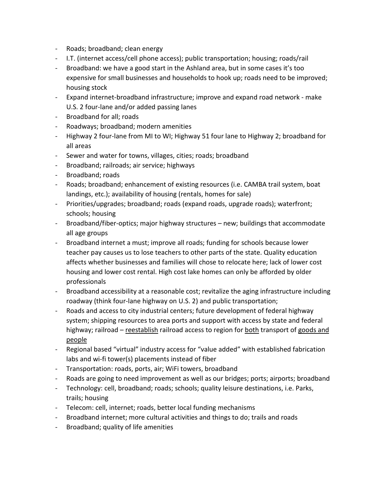- Roads; broadband; clean energy
- I.T. (internet access/cell phone access); public transportation; housing; roads/rail
- Broadband: we have a good start in the Ashland area, but in some cases it's too expensive for small businesses and households to hook up; roads need to be improved; housing stock
- Expand internet-broadband infrastructure; improve and expand road network make U.S. 2 four-lane and/or added passing lanes
- Broadband for all; roads
- Roadways; broadband; modern amenities
- Highway 2 four-lane from MI to WI; Highway 51 four lane to Highway 2; broadband for all areas
- Sewer and water for towns, villages, cities; roads; broadband
- Broadband; railroads; air service; highways
- Broadband; roads
- Roads; broadband; enhancement of existing resources (i.e. CAMBA trail system, boat landings, etc.); availability of housing (rentals, homes for sale)
- Priorities/upgrades; broadband; roads (expand roads, upgrade roads); waterfront; schools; housing
- Broadband/fiber-optics; major highway structures new; buildings that accommodate all age groups
- Broadband internet a must; improve all roads; funding for schools because lower teacher pay causes us to lose teachers to other parts of the state. Quality education affects whether businesses and families will chose to relocate here; lack of lower cost housing and lower cost rental. High cost lake homes can only be afforded by older professionals
- Broadband accessibility at a reasonable cost; revitalize the aging infrastructure including roadway (think four-lane highway on U.S. 2) and public transportation;
- Roads and access to city industrial centers; future development of federal highway system; shipping resources to area ports and support with access by state and federal highway; railroad – reestablish railroad access to region for both transport of goods and people
- Regional based "virtual" industry access for "value added" with established fabrication labs and wi-fi tower(s) placements instead of fiber
- Transportation: roads, ports, air; WiFi towers, broadband
- Roads are going to need improvement as well as our bridges; ports; airports; broadband
- Technology: cell, broadband; roads; schools; quality leisure destinations, i.e. Parks, trails; housing
- Telecom: cell, internet; roads, better local funding mechanisms
- Broadband internet; more cultural activities and things to do; trails and roads
- Broadband; quality of life amenities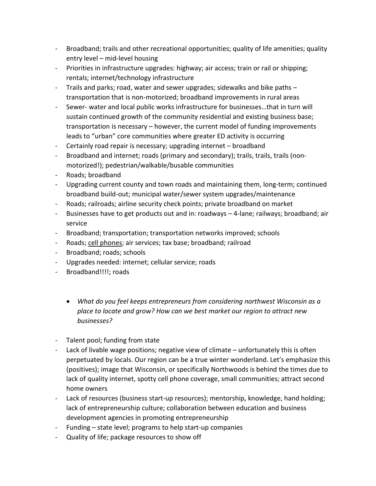- Broadband; trails and other recreational opportunities; quality of life amenities; quality entry level – mid-level housing
- Priorities in infrastructure upgrades: highway; air access; train or rail or shipping; rentals; internet/technology infrastructure
- Trails and parks; road, water and sewer upgrades; sidewalks and bike paths transportation that is non-motorized; broadband improvements in rural areas
- Sewer- water and local public works infrastructure for businesses…that in turn will sustain continued growth of the community residential and existing business base; transportation is necessary – however, the current model of funding improvements leads to "urban" core communities where greater ED activity is occurring
- Certainly road repair is necessary; upgrading internet broadband
- Broadband and internet; roads (primary and secondary); trails, trails, trails (nonmotorized!); pedestrian/walkable/busable communities
- Roads; broadband
- Upgrading current county and town roads and maintaining them, long-term; continued broadband build-out; municipal water/sewer system upgrades/maintenance
- Roads; railroads; airline security check points; private broadband on market
- Businesses have to get products out and in: roadways 4-lane; railways; broadband; air service
- Broadband; transportation; transportation networks improved; schools
- Roads; cell phones; air services; tax base; broadband; railroad
- Broadband; roads; schools
- Upgrades needed: internet; cellular service; roads
- Broadband!!!!; roads
	- *What do you feel keeps entrepreneurs from considering northwest Wisconsin as a place to locate and grow? How can we best market our region to attract new businesses?*
- Talent pool; funding from state
- Lack of livable wage positions; negative view of climate unfortunately this is often perpetuated by locals. Our region can be a true winter wonderland. Let's emphasize this (positives); image that Wisconsin, or specifically Northwoods is behind the times due to lack of quality internet, spotty cell phone coverage, small communities; attract second home owners
- Lack of resources (business start-up resources); mentorship, knowledge, hand holding; lack of entrepreneurship culture; collaboration between education and business development agencies in promoting entrepreneurship
- Funding state level; programs to help start-up companies
- Quality of life; package resources to show off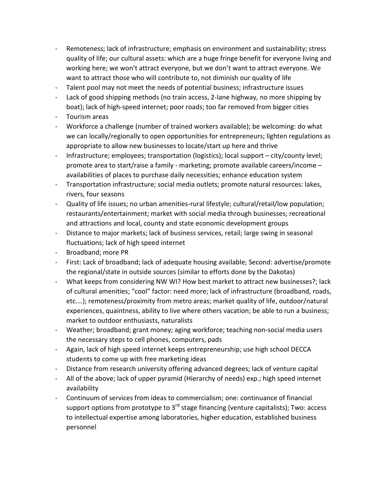- Remoteness; lack of infrastructure; emphasis on environment and sustainability; stress quality of life; our cultural assets: which are a huge fringe benefit for everyone living and working here; we won't attract everyone, but we don't want to attract everyone. We want to attract those who will contribute to, not diminish our quality of life
- Talent pool may not meet the needs of potential business; infrastructure issues
- Lack of good shipping methods (no train access, 2-lane highway, no more shipping by boat); lack of high-speed internet; poor roads; too far removed from bigger cities
- Tourism areas
- Workforce a challenge (number of trained workers available); be welcoming: do what we can locally/regionally to open opportunities for entrepreneurs; lighten regulations as appropriate to allow new businesses to locate/start up here and thrive
- Infrastructure; employees; transportation (logistics); local support city/county level; promote area to start/raise a family - marketing; promote available careers/income – availabilities of places to purchase daily necessities; enhance education system
- Transportation infrastructure; social media outlets; promote natural resources: lakes, rivers, four seasons
- Quality of life issues; no urban amenities-rural lifestyle; cultural/retail/low population; restaurants/entertainment; market with social media through businesses; recreational and attractions and local, county and state economic development groups
- Distance to major markets; lack of business services, retail; large swing in seasonal fluctuations; lack of high speed internet
- Broadband; more PR
- First: Lack of broadband; lack of adequate housing available; Second: advertise/promote the regional/state in outside sources (similar to efforts done by the Dakotas)
- What keeps from considering NW WI? How best market to attract new businesses?; lack of cultural amenities; "cool" factor: need more; lack of infrastructure (broadband, roads, etc.…); remoteness/proximity from metro areas; market quality of life, outdoor/natural experiences, quaintness, ability to live where others vacation; be able to run a business; market to outdoor enthusiasts, naturalists
- Weather; broadband; grant money; aging workforce; teaching non-social media users the necessary steps to cell phones, computers, pads
- Again, lack of high speed internet keeps entrepreneurship; use high school DECCA students to come up with free marketing ideas
- Distance from research university offering advanced degrees; lack of venture capital
- All of the above; lack of upper pyramid (Hierarchy of needs) exp.; high speed internet availability
- Continuum of services from ideas to commercialism; one: continuance of financial support options from prototype to  $3<sup>rd</sup>$  stage financing (venture capitalists); Two: access to intellectual expertise among laboratories, higher education, established business personnel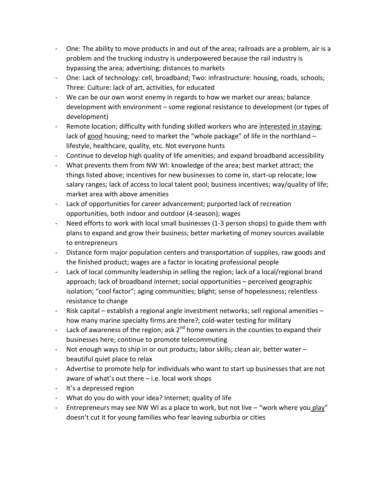- One: The ability to move products in and out of the area; railroads are a problem, air is a problem and the trucking industry is underpowered because the rail industry is bypassing the area; advertising; distances to markets
- One: Lack of technology: cell, broadband; Two: infrastructure: housing, roads, schools; Three: Culture: lack of art, activities, for educated
- We can be our own worst enemy in regards to how we market our areas; balance development with environment – some regional resistance to development (or types of development)
- Remote location; difficulty with funding skilled workers who are interested in staying; lack of good housing; need to market the "whole package" of life in the northland lifestyle, healthcare, quality, etc. Not everyone hunts
- Continue to develop high quality of life amenities; and expand broadband accessibility
- What prevents them from NW WI: knowledge of the area; best market attract; the things listed above; incentives for new businesses to come in, start-up relocate; low salary ranges; lack of access to local talent pool; business incentives; way/quality of life; market area with above amenities
- Lack of opportunities for career advancement; purported lack of recreation opportunities, both indoor and outdoor (4-season); wages
- Need efforts to work with local small businesses (1-3 person shops) to guide them with plans to expand and grow their business; better marketing of money sources available to entrepreneurs
- Distance form major population centers and transportation of supplies, raw goods and the finished product; wages are a factor in locating professional people
- Lack of local community leadership in selling the region; lack of a local/regional brand approach; lack of broadband internet; social opportunities – perceived geographic isolation; "cool factor"; aging communities; blight; sense of hopelessness; relentless resistance to change
- Risk capital establish a regional angle investment networks; sell regional amenities how many marine specialty firms are there?; cold-water testing for military
- Lack of awareness of the region; ask  $2^{nd}$  home owners in the counties to expand their businesses here; continue to promote telecommuting
- Not enough ways to ship in or out products; labor skills; clean air, better water beautiful quiet place to relax
- Advertise to promote help for individuals who want to start up businesses that are not aware of what's out there – i.e. local work shops
- It's a depressed region
- What do you do with your idea? Internet; quality of life
- Entrepreneurs may see NW WI as a place to work, but not live "work where you play" doesn't cut it for young families who fear leaving suburbia or cities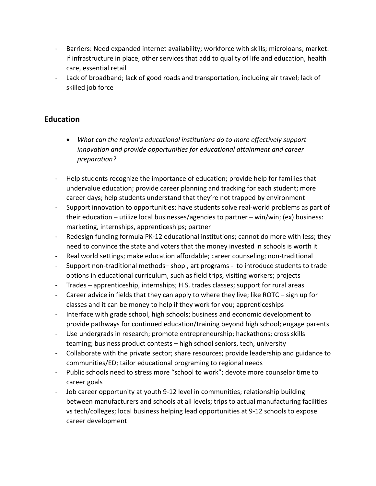- Barriers: Need expanded internet availability; workforce with skills; microloans; market: if infrastructure in place, other services that add to quality of life and education, health care, essential retail
- Lack of broadband; lack of good roads and transportation, including air travel; lack of skilled job force

## **Education**

- *What can the region's educational institutions do to more effectively support innovation and provide opportunities for educational attainment and career preparation?*
- Help students recognize the importance of education; provide help for families that undervalue education; provide career planning and tracking for each student; more career days; help students understand that they're not trapped by environment
- Support innovation to opportunities; have students solve real-world problems as part of their education – utilize local businesses/agencies to partner – win/win; (ex) business: marketing, internships, apprenticeships; partner
- Redesign funding formula PK-12 educational institutions; cannot do more with less; they need to convince the state and voters that the money invested in schools is worth it
- Real world settings; make education affordable; career counseling; non-traditional
- Support non-traditional methods– shop , art programs to introduce students to trade options in educational curriculum, such as field trips, visiting workers; projects
- Trades apprenticeship, internships; H.S. trades classes; support for rural areas
- Career advice in fields that they can apply to where they live; like ROTC sign up for classes and it can be money to help if they work for you; apprenticeships
- Interface with grade school, high schools; business and economic development to provide pathways for continued education/training beyond high school; engage parents
- Use undergrads in research; promote entrepreneurship; hackathons; cross skills teaming; business product contests – high school seniors, tech, university
- Collaborate with the private sector; share resources; provide leadership and guidance to communities/ED; tailor educational programing to regional needs
- Public schools need to stress more "school to work"; devote more counselor time to career goals
- Job career opportunity at youth 9-12 level in communities; relationship building between manufacturers and schools at all levels; trips to actual manufacturing facilities vs tech/colleges; local business helping lead opportunities at 9-12 schools to expose career development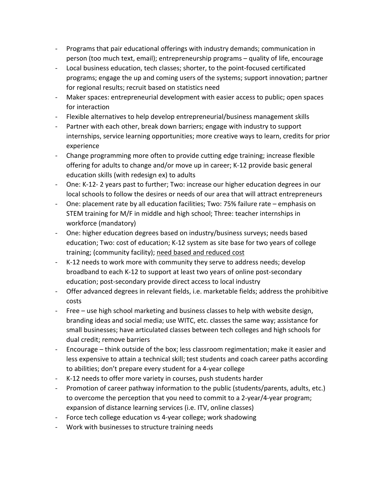- Programs that pair educational offerings with industry demands; communication in person (too much text, email); entrepreneurship programs – quality of life, encourage
- Local business education, tech classes; shorter, to the point-focused certificated programs; engage the up and coming users of the systems; support innovation; partner for regional results; recruit based on statistics need
- Maker spaces: entrepreneurial development with easier access to public; open spaces for interaction
- Flexible alternatives to help develop entrepreneurial/business management skills
- Partner with each other, break down barriers; engage with industry to support internships, service learning opportunities; more creative ways to learn, credits for prior experience
- Change programming more often to provide cutting edge training; increase flexible offering for adults to change and/or move up in career; K-12 provide basic general education skills (with redesign ex) to adults
- One: K-12- 2 years past to further; Two: increase our higher education degrees in our local schools to follow the desires or needs of our area that will attract entrepreneurs
- One: placement rate by all education facilities; Two: 75% failure rate emphasis on STEM training for M/F in middle and high school; Three: teacher internships in workforce (mandatory)
- One: higher education degrees based on industry/business surveys; needs based education; Two: cost of education; K-12 system as site base for two years of college training; (community facility); need based and reduced cost
- K-12 needs to work more with community they serve to address needs; develop broadband to each K-12 to support at least two years of online post-secondary education; post-secondary provide direct access to local industry
- Offer advanced degrees in relevant fields, i.e. marketable fields; address the prohibitive costs
- Free use high school marketing and business classes to help with website design, branding ideas and social media; use WITC, etc. classes the same way; assistance for small businesses; have articulated classes between tech colleges and high schools for dual credit; remove barriers
- Encourage think outside of the box; less classroom regimentation; make it easier and less expensive to attain a technical skill; test students and coach career paths according to abilities; don't prepare every student for a 4-year college
- K-12 needs to offer more variety in courses, push students harder
- Promotion of career pathway information to the public (students/parents, adults, etc.) to overcome the perception that you need to commit to a 2-year/4-year program; expansion of distance learning services (i.e. ITV, online classes)
- Force tech college education vs 4-year college; work shadowing
- Work with businesses to structure training needs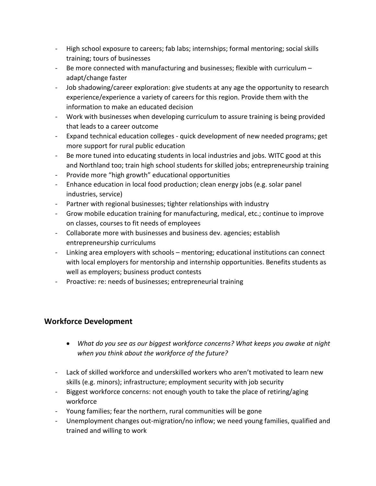- High school exposure to careers; fab labs; internships; formal mentoring; social skills training; tours of businesses
- Be more connected with manufacturing and businesses; flexible with curriculum adapt/change faster
- Job shadowing/career exploration: give students at any age the opportunity to research experience/experience a variety of careers for this region. Provide them with the information to make an educated decision
- Work with businesses when developing curriculum to assure training is being provided that leads to a career outcome
- Expand technical education colleges quick development of new needed programs; get more support for rural public education
- Be more tuned into educating students in local industries and jobs. WITC good at this and Northland too; train high school students for skilled jobs; entrepreneurship training
- Provide more "high growth" educational opportunities
- Enhance education in local food production; clean energy jobs (e.g. solar panel industries, service)
- Partner with regional businesses; tighter relationships with industry
- Grow mobile education training for manufacturing, medical, etc.; continue to improve on classes, courses to fit needs of employees
- Collaborate more with businesses and business dev. agencies; establish entrepreneurship curriculums
- Linking area employers with schools mentoring; educational institutions can connect with local employers for mentorship and internship opportunities. Benefits students as well as employers; business product contests
- Proactive: re: needs of businesses; entrepreneurial training

## **Workforce Development**

- *What do you see as our biggest workforce concerns? What keeps you awake at night when you think about the workforce of the future?*
- Lack of skilled workforce and underskilled workers who aren't motivated to learn new skills (e.g. minors); infrastructure; employment security with job security
- Biggest workforce concerns: not enough youth to take the place of retiring/aging workforce
- Young families; fear the northern, rural communities will be gone
- Unemployment changes out-migration/no inflow; we need young families, qualified and trained and willing to work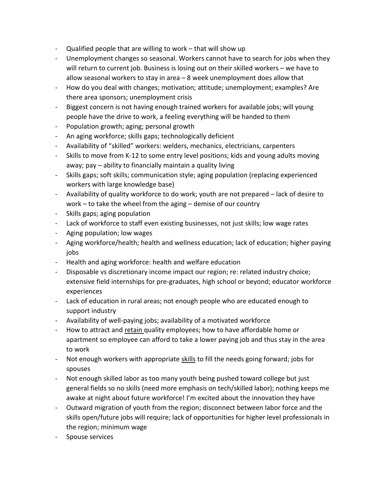- Qualified people that are willing to work that will show up
- Unemployment changes so seasonal. Workers cannot have to search for jobs when they will return to current job. Business is losing out on their skilled workers – we have to allow seasonal workers to stay in area – 8 week unemployment does allow that
- How do you deal with changes; motivation; attitude; unemployment; examples? Are there area sponsors; unemployment crisis
- Biggest concern is not having enough trained workers for available jobs; will young people have the drive to work, a feeling everything will be handed to them
- Population growth; aging; personal growth
- An aging workforce; skills gaps; technologically deficient
- Availability of "skilled" workers: welders, mechanics, electricians, carpenters
- Skills to move from K-12 to some entry level positions; kids and young adults moving away; pay – ability to financially maintain a quality living
- Skills gaps; soft skills; communication style; aging population (replacing experienced workers with large knowledge base)
- Availability of quality workforce to do work; youth are not prepared lack of desire to work – to take the wheel from the aging – demise of our country
- Skills gaps; aging population
- Lack of workforce to staff even existing businesses, not just skills; low wage rates
- Aging population; low wages
- Aging workforce/health; health and wellness education; lack of education; higher paying jobs
- Health and aging workforce: health and welfare education
- Disposable vs discretionary income impact our region; re: related industry choice; extensive field internships for pre-graduates, high school or beyond; educator workforce experiences
- Lack of education in rural areas; not enough people who are educated enough to support industry
- Availability of well-paying jobs; availability of a motivated workforce
- How to attract and retain quality employees; how to have affordable home or apartment so employee can afford to take a lower paying job and thus stay in the area to work
- Not enough workers with appropriate skills to fill the needs going forward; jobs for spouses
- Not enough skilled labor as too many youth being pushed toward college but just general fields so no skills (need more emphasis on tech/skilled labor); nothing keeps me awake at night about future workforce! I'm excited about the innovation they have
- Outward migration of youth from the region; disconnect between labor force and the skills open/future jobs will require; lack of opportunities for higher level professionals in the region; minimum wage
- Spouse services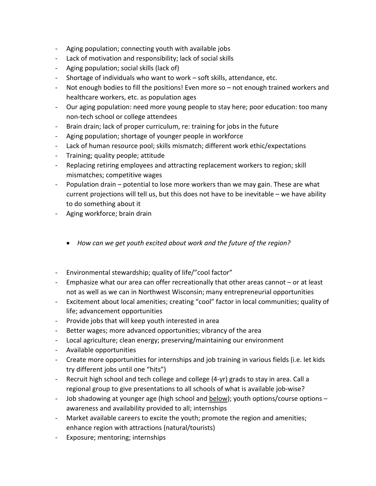- Aging population; connecting youth with available jobs
- Lack of motivation and responsibility; lack of social skills
- Aging population; social skills (lack of)
- Shortage of individuals who want to work soft skills, attendance, etc.
- Not enough bodies to fill the positions! Even more so not enough trained workers and healthcare workers, etc. as population ages
- Our aging population: need more young people to stay here; poor education: too many non-tech school or college attendees
- Brain drain; lack of proper curriculum, re: training for jobs in the future
- Aging population; shortage of younger people in workforce
- Lack of human resource pool; skills mismatch; different work ethic/expectations
- Training; quality people; attitude
- Replacing retiring employees and attracting replacement workers to region; skill mismatches; competitive wages
- Population drain potential to lose more workers than we may gain. These are what current projections will tell us, but this does not have to be inevitable – we have ability to do something about it
- Aging workforce; brain drain
	- *How can we get youth excited about work and the future of the region?*
- Environmental stewardship; quality of life/"cool factor"
- Emphasize what our area can offer recreationally that other areas cannot or at least not as well as we can in Northwest Wisconsin; many entrepreneurial opportunities
- Excitement about local amenities; creating "cool" factor in local communities; quality of life; advancement opportunities
- Provide jobs that will keep youth interested in area
- Better wages; more advanced opportunities; vibrancy of the area
- Local agriculture; clean energy; preserving/maintaining our environment
- Available opportunities
- Create more opportunities for internships and job training in various fields (i.e. let kids try different jobs until one "hits")
- Recruit high school and tech college and college (4-yr) grads to stay in area. Call a regional group to give presentations to all schools of what is available job-wise?
- Job shadowing at younger age (high school and below); youth options/course options awareness and availability provided to all; internships
- Market available careers to excite the youth; promote the region and amenities; enhance region with attractions (natural/tourists)
- Exposure; mentoring; internships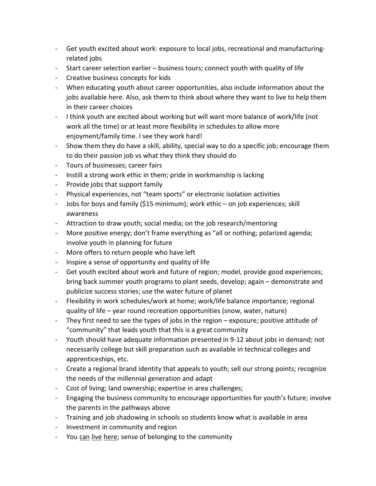- Get youth excited about work: exposure to local jobs, recreational and manufacturingrelated jobs
- Start career selection earlier business tours; connect youth with quality of life
- Creative business concepts for kids
- When educating youth about career opportunities, also include information about the jobs available here. Also, ask them to think about where they want to live to help them in their career choices
- I think youth are excited about working but will want more balance of work/life (not work all the time) or at least more flexibility in schedules to allow more enjoyment/family time. I see they work hard!
- Show them they do have a skill, ability, special way to do a specific job; encourage them to do their passion job vs what they think they should do
- Tours of businesses; career fairs
- Instill a strong work ethic in them; pride in workmanship is lacking
- Provide jobs that support family
- Physical experiences, not "team sports" or electronic isolation activities
- Jobs for boys and family (\$15 minimum); work ethic on job experiences; skill awareness
- Attraction to draw youth; social media; on the job research/mentoring
- More positive energy; don't frame everything as "all or nothing; polarized agenda; involve youth in planning for future
- More offers to return people who have left
- Inspire a sense of opportunity and quality of life
- Get youth excited about work and future of region; model, provide good experiences; bring back summer youth programs to plant seeds, develop; again – demonstrate and publicize success stories; use the water future of planet
- Flexibility in work schedules/work at home; work/life balance importance; regional quality of life – year round recreation opportunities (snow, water, nature)
- They first need to see the types of jobs in the region exposure; positive attitude of "community" that leads youth that this is a great community
- Youth should have adequate information presented in 9-12 about jobs in demand; not necessarily college but skill preparation such as available in technical colleges and apprenticeships, etc.
- Create a regional brand identity that appeals to youth; sell our strong points; recognize the needs of the millennial generation and adapt
- Cost of living; land ownership; expertise in area challenges;
- Engaging the business community to encourage opportunities for youth's future; involve the parents in the pathways above
- Training and job shadowing in schools so students know what is available in area
- Investment in community and region
- You can live here; sense of belonging to the community